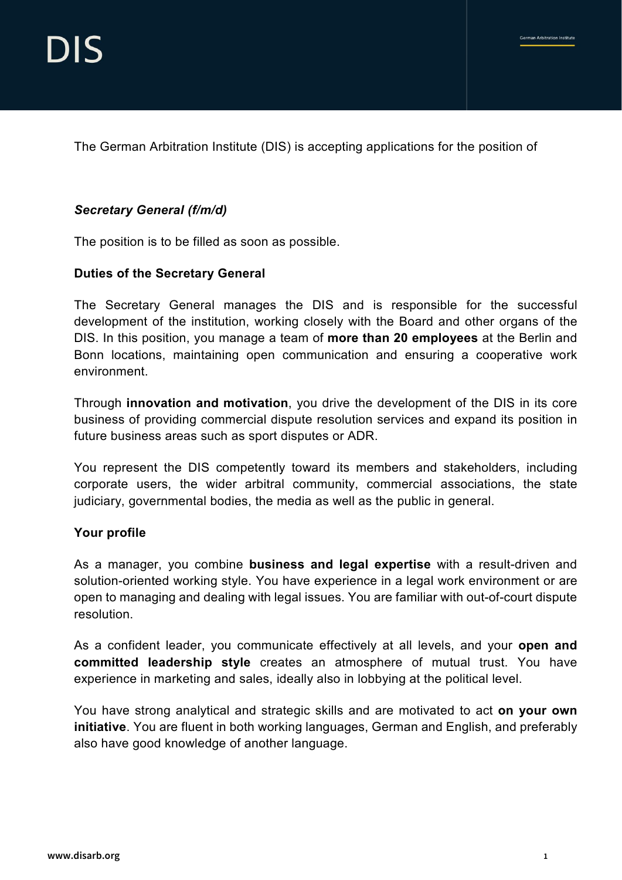The German Arbitration Institute (DIS) is accepting applications for the position of

# *Secretary General (f/m/d)*

The position is to be filled as soon as possible.

## **Duties of the Secretary General**

The Secretary General manages the DIS and is responsible for the successful development of the institution, working closely with the Board and other organs of the DIS. In this position, you manage a team of **more than 20 employees** at the Berlin and Bonn locations, maintaining open communication and ensuring a cooperative work environment.

Through **innovation and motivation**, you drive the development of the DIS in its core business of providing commercial dispute resolution services and expand its position in future business areas such as sport disputes or ADR.

You represent the DIS competently toward its members and stakeholders, including corporate users, the wider arbitral community, commercial associations, the state judiciary, governmental bodies, the media as well as the public in general.

## **Your profile**

As a manager, you combine **business and legal expertise** with a result-driven and solution-oriented working style. You have experience in a legal work environment or are open to managing and dealing with legal issues. You are familiar with out-of-court dispute resolution.

As a confident leader, you communicate effectively at all levels, and your **open and committed leadership style** creates an atmosphere of mutual trust. You have experience in marketing and sales, ideally also in lobbying at the political level.

You have strong analytical and strategic skills and are motivated to act **on your own initiative**. You are fluent in both working languages, German and English, and preferably also have good knowledge of another language.